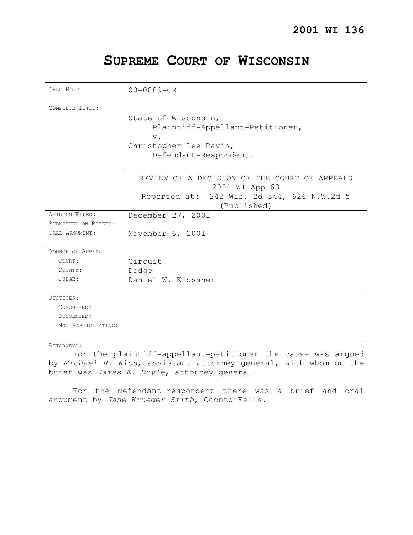## **SUPREME COURT OF WISCONSIN**

| CASE No.:            | $00 - 0889 - CR$                                               |
|----------------------|----------------------------------------------------------------|
|                      |                                                                |
| COMPLETE TITLE:      |                                                                |
|                      | State of Wisconsin,                                            |
|                      | Plaintiff-Appellant-Petitioner,                                |
|                      | $V$ .                                                          |
|                      | Christopher Lee Davis,                                         |
|                      | Defendant-Respondent.                                          |
|                      | REVIEW OF A DECISION OF THE COURT OF APPEALS<br>2001 WI App 63 |
|                      | 242 Wis. 2d 344, 626 N.W.2d 5<br>Reported at:<br>(Published)   |
| OPINION FILED:       | December 27, 2001                                              |
| SUBMITTED ON BRIEFS: |                                                                |
| ORAL ARGUMENT:       | November 6, 2001                                               |
| SOURCE OF APPEAL:    |                                                                |
| COURT:               | Circuit                                                        |
| COUNTY:              | Dodge                                                          |
| JUDGE:               | Daniel W. Klossner                                             |
| JUSTICES:            |                                                                |
| CONCURRED:           |                                                                |
| DISSENTED:           |                                                                |
| NOT PARTICIPATING:   |                                                                |
| ATTORNEYS:           |                                                                |

For the plaintiff-appellant-petitioner the cause was argued by Michael R. Klos, assistant attorney general, with whom on the brief was James E. Doyle, attorney general.

For the defendant-respondent there was a brief and oral argument by Jane Krueger Smith, Oconto Falls.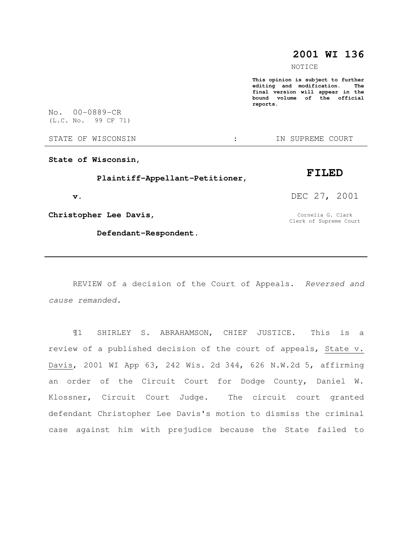## **2001 WI 136**

NOTICE

**This opinion is subject to further editing and modification. The final version will appear in the bound volume of the official reports.** 

No. 00-0889-CR (L.C. No. 99 CF 71)

STATE OF WISCONSIN  $\cdot$  : IN SUPREME COURT

**State of Wisconsin,** 

 **Plaintiff-Appellant-Petitioner,** 

 **v.** 

**Christopher Lee Davis,** 

 **Defendant-Respondent.** 

**FILED** 

DEC 27, 2001

Cornelia G. Clark Clerk of Supreme Court

REVIEW of a decision of the Court of Appeals. Reversed and cause remanded.

¶1 SHIRLEY S. ABRAHAMSON, CHIEF JUSTICE. This is a review of a published decision of the court of appeals, State v. Davis, 2001 WI App 63, 242 Wis. 2d 344, 626 N.W.2d 5, affirming an order of the Circuit Court for Dodge County, Daniel W. Klossner, Circuit Court Judge. The circuit court granted defendant Christopher Lee Davis's motion to dismiss the criminal case against him with prejudice because the State failed to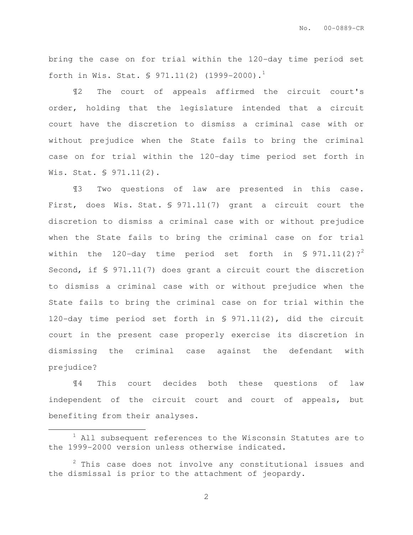bring the case on for trial within the 120-day time period set forth in Wis. Stat.  $\sqrt{971.11(2)}$  (1999-2000).<sup>1</sup>

¶2 The court of appeals affirmed the circuit court's order, holding that the legislature intended that a circuit court have the discretion to dismiss a criminal case with or without prejudice when the State fails to bring the criminal case on for trial within the 120-day time period set forth in Wis. Stat. § 971.11(2).

¶3 Two questions of law are presented in this case. First, does Wis. Stat. § 971.11(7) grant a circuit court the discretion to dismiss a criminal case with or without prejudice when the State fails to bring the criminal case on for trial within the 120-day time period set forth in § 971.11(2)?<sup>2</sup> Second, if § 971.11(7) does grant a circuit court the discretion to dismiss a criminal case with or without prejudice when the State fails to bring the criminal case on for trial within the 120-day time period set forth in § 971.11(2), did the circuit court in the present case properly exercise its discretion in dismissing the criminal case against the defendant with prejudice?

¶4 This court decides both these questions of law independent of the circuit court and court of appeals, but benefiting from their analyses.

 $\overline{a}$ 

 $1$  All subsequent references to the Wisconsin Statutes are to the 1999-2000 version unless otherwise indicated.

 $2$  This case does not involve any constitutional issues and the dismissal is prior to the attachment of jeopardy.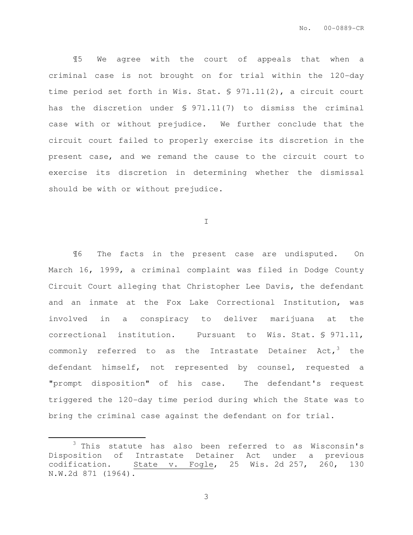¶5 We agree with the court of appeals that when a criminal case is not brought on for trial within the 120-day time period set forth in Wis. Stat. § 971.11(2), a circuit court has the discretion under § 971.11(7) to dismiss the criminal case with or without prejudice. We further conclude that the circuit court failed to properly exercise its discretion in the present case, and we remand the cause to the circuit court to exercise its discretion in determining whether the dismissal should be with or without prejudice.

I

¶6 The facts in the present case are undisputed. On March 16, 1999, a criminal complaint was filed in Dodge County Circuit Court alleging that Christopher Lee Davis, the defendant and an inmate at the Fox Lake Correctional Institution, was involved in a conspiracy to deliver marijuana at the correctional institution. Pursuant to Wis. Stat. § 971.11, commonly referred to as the Intrastate Detainer Act,  $3$  the defendant himself, not represented by counsel, requested a "prompt disposition" of his case. The defendant's request triggered the 120-day time period during which the State was to bring the criminal case against the defendant on for trial.

 $\overline{a}$ 

<sup>&</sup>lt;sup>3</sup> This statute has also been referred to as Wisconsin's Disposition of Intrastate Detainer Act under a previous codification. State v. Fogle, 25 Wis. 2d 257, 260, 130 N.W.2d 871 (1964).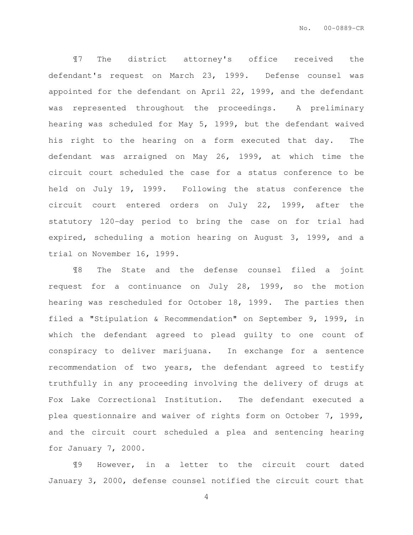¶7 The district attorney's office received the defendant's request on March 23, 1999. Defense counsel was appointed for the defendant on April 22, 1999, and the defendant was represented throughout the proceedings. A preliminary hearing was scheduled for May 5, 1999, but the defendant waived his right to the hearing on a form executed that day. The defendant was arraigned on May 26, 1999, at which time the circuit court scheduled the case for a status conference to be held on July 19, 1999. Following the status conference the circuit court entered orders on July 22, 1999, after the statutory 120-day period to bring the case on for trial had expired, scheduling a motion hearing on August 3, 1999, and a trial on November 16, 1999.

¶8 The State and the defense counsel filed a joint request for a continuance on July 28, 1999, so the motion hearing was rescheduled for October 18, 1999. The parties then filed a "Stipulation & Recommendation" on September 9, 1999, in which the defendant agreed to plead guilty to one count of conspiracy to deliver marijuana. In exchange for a sentence recommendation of two years, the defendant agreed to testify truthfully in any proceeding involving the delivery of drugs at Fox Lake Correctional Institution. The defendant executed a plea questionnaire and waiver of rights form on October 7, 1999, and the circuit court scheduled a plea and sentencing hearing for January 7, 2000.

¶9 However, in a letter to the circuit court dated January 3, 2000, defense counsel notified the circuit court that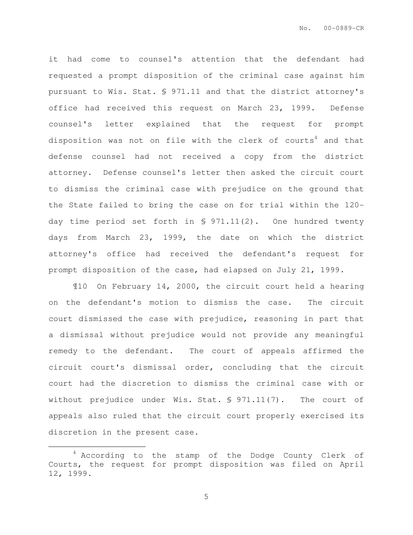it had come to counsel's attention that the defendant had requested a prompt disposition of the criminal case against him pursuant to Wis. Stat. § 971.11 and that the district attorney's office had received this request on March 23, 1999. Defense counsel's letter explained that the request for prompt disposition was not on file with the clerk of courts<sup>4</sup> and that defense counsel had not received a copy from the district attorney. Defense counsel's letter then asked the circuit court to dismiss the criminal case with prejudice on the ground that the State failed to bring the case on for trial within the 120 day time period set forth in § 971.11(2). One hundred twenty days from March 23, 1999, the date on which the district attorney's office had received the defendant's request for prompt disposition of the case, had elapsed on July 21, 1999.

¶10 On February 14, 2000, the circuit court held a hearing on the defendant's motion to dismiss the case. The circuit court dismissed the case with prejudice, reasoning in part that a dismissal without prejudice would not provide any meaningful remedy to the defendant. The court of appeals affirmed the circuit court's dismissal order, concluding that the circuit court had the discretion to dismiss the criminal case with or without prejudice under Wis. Stat. § 971.11(7). The court of appeals also ruled that the circuit court properly exercised its discretion in the present case.

 $\overline{a}$ 

<sup>&</sup>lt;sup>4</sup> According to the stamp of the Dodge County Clerk of Courts, the request for prompt disposition was filed on April 12, 1999.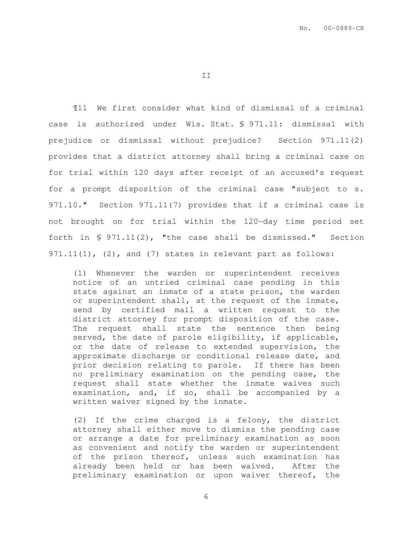II

¶11 We first consider what kind of dismissal of a criminal case is authorized under Wis. Stat. § 971.11: dismissal with prejudice or dismissal without prejudice? Section 971.11(2) provides that a district attorney shall bring a criminal case on for trial within 120 days after receipt of an accused's request for a prompt disposition of the criminal case "subject to s. 971.10." Section 971.11(7) provides that if a criminal case is not brought on for trial within the 120-day time period set forth in § 971.11(2), "the case shall be dismissed." Section 971.11(1), (2), and (7) states in relevant part as follows:

(1) Whenever the warden or superintendent receives notice of an untried criminal case pending in this state against an inmate of a state prison, the warden or superintendent shall, at the request of the inmate, send by certified mail a written request to the district attorney for prompt disposition of the case. The request shall state the sentence then being served, the date of parole eligibility, if applicable, or the date of release to extended supervision, the approximate discharge or conditional release date, and prior decision relating to parole. If there has been no preliminary examination on the pending case, the request shall state whether the inmate waives such examination, and, if so, shall be accompanied by a written waiver signed by the inmate.

(2) If the crime charged is a felony, the district attorney shall either move to dismiss the pending case or arrange a date for preliminary examination as soon as convenient and notify the warden or superintendent of the prison thereof, unless such examination has already been held or has been waived. After the preliminary examination or upon waiver thereof, the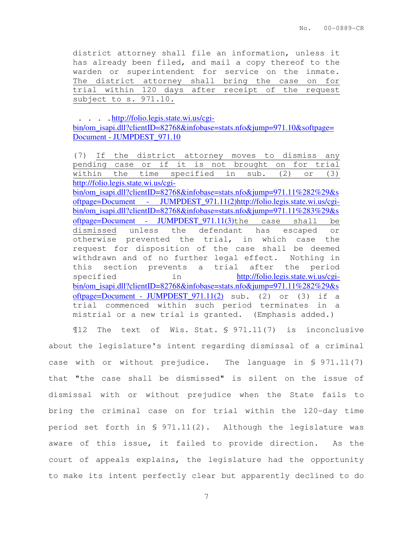district attorney shall file an information, unless it has already been filed, and mail a copy thereof to the warden or superintendent for service on the inmate. The district attorney shall bring the case on for trial within 120 days after receipt of the request subject to s. 971.10.

. . . . [http://folio.legis.state](http://folio.legis.state.wi.us/cgi-bin/om_isapi.dll?clientID=82768&infobase=stats.nfo&jump=971.10&softpage=Document).wi.us/cgibin/om\_isapi.dll?clientID=82768&infobase=stats.nfo&jump=971.10&softpage= Document - JUMPDEST\_971.10

(7) If the district attorney moves to dismiss any pending case or if it is not brought on for trial within the time specified in sub. (2) or (3) http://folio.legis.state.wi.us/cgi-

bin/om\_isapi.dll?clientID=82768&infobase=stats.nfo&jump=971.11%282%29&s oftpage=Document - JUMPDEST\_971.11(2)[h](http://folio.legis.state.wi.us/cgi-bin/om_isapi.dll?clientID=82768&infobase=stats.nfo&jump=971.11%283%29&softpage=Document)ttp://folio.legis.state.wi.us/cgibin/om\_isapi.dll?clientID=82768&infobase=stats.nfo&jump=971.11%283%29&s oftpage=Document - JUMPDEST\_971.11(3)the case shall be dismissed unless the defendant has escaped or otherwise prevented the trial, in which case the request for disposition of the case shall be deemed withdrawn and of no further legal effect. Nothing in this section prevents a trial after the period specified in [h](http://folio.legis.state.wi.us/cgi-bin/om_isapi.dll?clientID=82768&infobase=stats.nfo&jump=971.11%282%29&softpage=Document)ttp://folio.legis.state.wi.us/cgibin/om\_isapi.dll?clientID=82768&infobase=stats.nfo&jump=971.11%282%29&s oftpage=Document - JUMPDEST\_971.11(2) sub. (2) or (3) if a trial commenced within such period terminates in a mistrial or a new trial is granted. (Emphasis added.)

¶12 The text of Wis. Stat. § 971.11(7) is inconclusive about the legislature's intent regarding dismissal of a criminal case with or without prejudice. The language in § 971.11(7) that "the case shall be dismissed" is silent on the issue of dismissal with or without prejudice when the State fails to bring the criminal case on for trial within the 120-day time period set forth in § 971.11(2). Although the legislature was aware of this issue, it failed to provide direction. As the court of appeals explains, the legislature had the opportunity to make its intent perfectly clear but apparently declined to do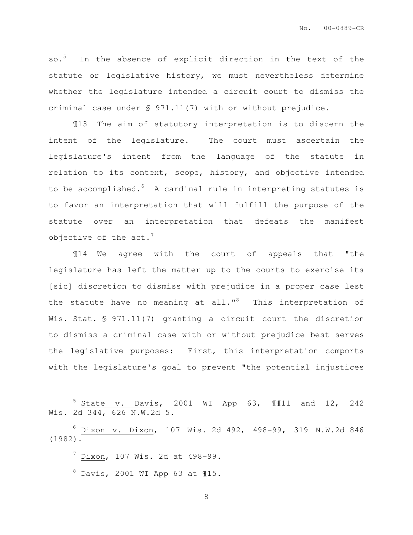so.<sup>5</sup> In the absence of explicit direction in the text of the statute or legislative history, we must nevertheless determine whether the legislature intended a circuit court to dismiss the criminal case under § 971.11(7) with or without prejudice.

¶13 The aim of statutory interpretation is to discern the intent of the legislature. The court must ascertain the legislature's intent from the language of the statute in relation to its context, scope, history, and objective intended to be accomplished. $6\,$  A cardinal rule in interpreting statutes is to favor an interpretation that will fulfill the purpose of the statute over an interpretation that defeats the manifest objective of the  $act.^7$ 

¶14 We agree with the court of appeals that "the legislature has left the matter up to the courts to exercise its [sic] discretion to dismiss with prejudice in a proper case lest the statute have no meaning at all."<sup>8</sup> This interpretation of Wis. Stat. § 971.11(7) granting a circuit court the discretion to dismiss a criminal case with or without prejudice best serves the legislative purposes: First, this interpretation comports with the legislature's goal to prevent "the potential injustices

<sup>6</sup> Dixon v. Dixon, 107 Wis. 2d 492, 498-99, 319 N.W.2d 846 (1982).

 $^7$  Dixon, 107 Wis. 2d at 498-99.

 $\overline{a}$ 

 $8$  Davis, 2001 WI App 63 at  $15$ .

 $5$  State v. Davis, 2001 WI App 63, 1111 and 12, 242 Wis. 2d 344, 626 N.W.2d 5.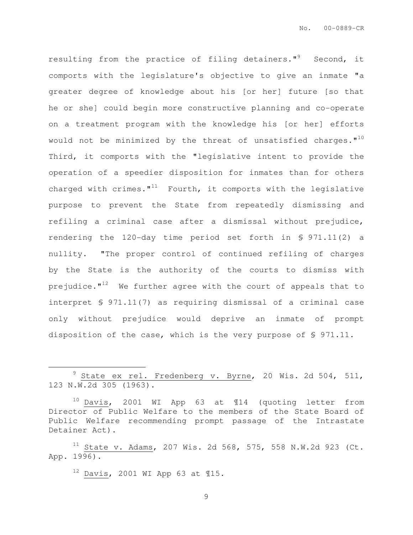resulting from the practice of filing detainers."<sup>9</sup> Second, it comports with the legislature's objective to give an inmate "a greater degree of knowledge about his [or her] future [so that he or she] could begin more constructive planning and co-operate on a treatment program with the knowledge his [or her] efforts would not be minimized by the threat of unsatisfied charges. $"$ <sup>10</sup> Third, it comports with the "legislative intent to provide the operation of a speedier disposition for inmates than for others charged with crimes. $1^{11}$  Fourth, it comports with the legislative purpose to prevent the State from repeatedly dismissing and refiling a criminal case after a dismissal without prejudice, rendering the 120-day time period set forth in § 971.11(2) a nullity. "The proper control of continued refiling of charges by the State is the authority of the courts to dismiss with prejudice. $1^{12}$  We further agree with the court of appeals that to interpret § 971.11(7) as requiring dismissal of a criminal case only without prejudice would deprive an inmate of prompt disposition of the case, which is the very purpose of § 971.11.

 $12$  Davis, 2001 WI App 63 at  $115$ .

 $\overline{a}$ 

 $9$  State ex rel. Fredenberg v. Byrne, 20 Wis. 2d 504, 511, 123 N.W.2d 305 (1963).

<sup>10</sup> Davis, 2001 WI App 63 at ¶14 (quoting letter from Director of Public Welfare to the members of the State Board of Public Welfare recommending prompt passage of the Intrastate Detainer Act).

 $11$  State v. Adams, 207 Wis. 2d 568, 575, 558 N.W.2d 923 (Ct. App. 1996).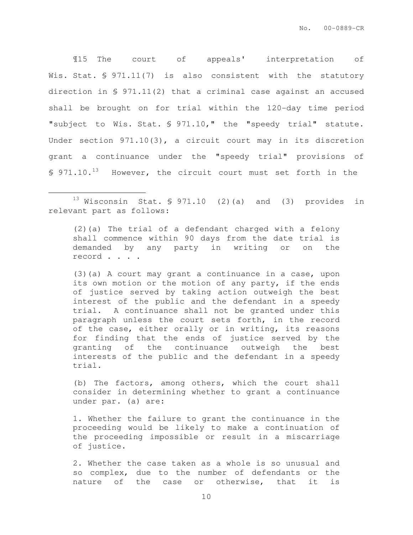¶15 The court of appeals' interpretation of Wis. Stat. § 971.11(7) is also consistent with the statutory direction in § 971.11(2) that a criminal case against an accused shall be brought on for trial within the 120-day time period "subject to Wis. Stat. § 971.10," the "speedy trial" statute. Under section 971.10(3), a circuit court may in its discretion grant a continuance under the "speedy trial" provisions of  $$971.10.<sup>13</sup>$  However, the circuit court must set forth in the

 $13$  Wisconsin Stat. § 971.10 (2)(a) and (3) provides in relevant part as follows:

 $\overline{a}$ 

(2)(a) The trial of a defendant charged with a felony shall commence within 90 days from the date trial is demanded by any party in writing or on the record . . . .

(3)(a) A court may grant a continuance in a case, upon its own motion or the motion of any party, if the ends of justice served by taking action outweigh the best interest of the public and the defendant in a speedy trial. A continuance shall not be granted under this paragraph unless the court sets forth, in the record of the case, either orally or in writing, its reasons for finding that the ends of justice served by the granting of the continuance outweigh the best interests of the public and the defendant in a speedy trial.

(b) The factors, among others, which the court shall consider in determining whether to grant a continuance under par. (a) are:

1. Whether the failure to grant the continuance in the proceeding would be likely to make a continuation of the proceeding impossible or result in a miscarriage of justice.

2. Whether the case taken as a whole is so unusual and so complex, due to the number of defendants or the nature of the case or otherwise, that it is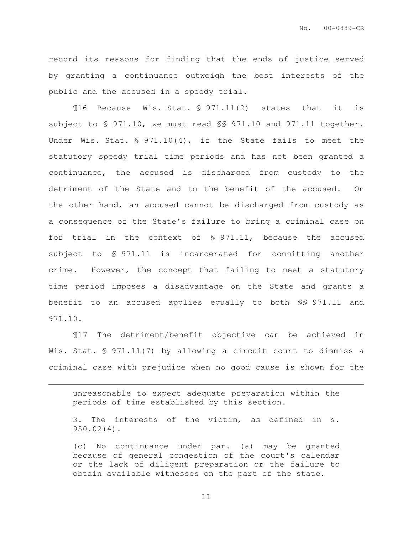record its reasons for finding that the ends of justice served by granting a continuance outweigh the best interests of the public and the accused in a speedy trial.

¶16 Because Wis. Stat. § 971.11(2) states that it is subject to § 971.10, we must read §§ 971.10 and 971.11 together. Under Wis. Stat. § 971.10(4), if the State fails to meet the statutory speedy trial time periods and has not been granted a continuance, the accused is discharged from custody to the detriment of the State and to the benefit of the accused. On the other hand, an accused cannot be discharged from custody as a consequence of the State's failure to bring a criminal case on for trial in the context of § 971.11, because the accused subject to § 971.11 is incarcerated for committing another crime. However, the concept that failing to meet a statutory time period imposes a disadvantage on the State and grants a benefit to an accused applies equally to both §§ 971.11 and 971.10.

¶17 The detriment/benefit objective can be achieved in Wis. Stat. § 971.11(7) by allowing a circuit court to dismiss a criminal case with prejudice when no good cause is shown for the

unreasonable to expect adequate preparation within the periods of time established by this section.

 $\overline{a}$ 

3. The interests of the victim, as defined in s. 950.02(4).

(c) No continuance under par. (a) may be granted because of general congestion of the court's calendar or the lack of diligent preparation or the failure to obtain available witnesses on the part of the state.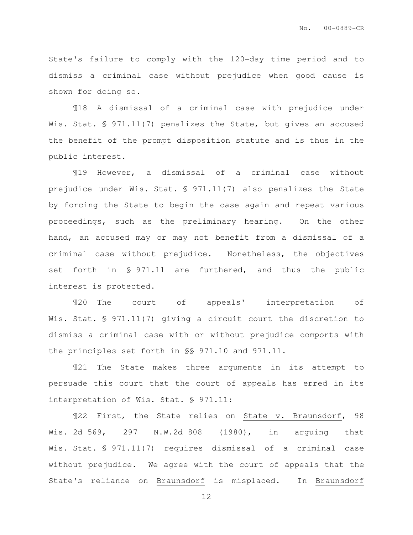State's failure to comply with the 120-day time period and to dismiss a criminal case without prejudice when good cause is shown for doing so.

¶18 A dismissal of a criminal case with prejudice under Wis. Stat. § 971.11(7) penalizes the State, but gives an accused the benefit of the prompt disposition statute and is thus in the public interest.

¶19 However, a dismissal of a criminal case without prejudice under Wis. Stat. § 971.11(7) also penalizes the State by forcing the State to begin the case again and repeat various proceedings, such as the preliminary hearing. On the other hand, an accused may or may not benefit from a dismissal of a criminal case without prejudice. Nonetheless, the objectives set forth in § 971.11 are furthered, and thus the public interest is protected.

¶20 The court of appeals' interpretation of Wis. Stat. § 971.11(7) giving a circuit court the discretion to dismiss a criminal case with or without prejudice comports with the principles set forth in §§ 971.10 and 971.11.

¶21 The State makes three arguments in its attempt to persuade this court that the court of appeals has erred in its interpretation of Wis. Stat. § 971.11:

¶22 First, the State relies on State v. Braunsdorf, 98 Wis. 2d 569, 297 N.W.2d 808 (1980), in arguing that Wis. Stat. § 971.11(7) requires dismissal of a criminal case without prejudice. We agree with the court of appeals that the State's reliance on Braunsdorf is misplaced. In Braunsdorf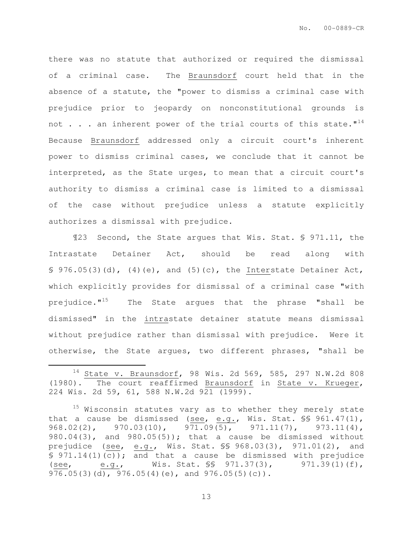there was no statute that authorized or required the dismissal of a criminal case. The Braunsdorf court held that in the absence of a statute, the "power to dismiss a criminal case with prejudice prior to jeopardy on nonconstitutional grounds is not  $\ldots$  . an inherent power of the trial courts of this state."<sup>14</sup> Because Braunsdorf addressed only a circuit court's inherent power to dismiss criminal cases, we conclude that it cannot be interpreted, as the State urges, to mean that a circuit court's authority to dismiss a criminal case is limited to a dismissal of the case without prejudice unless a statute explicitly authorizes a dismissal with prejudice.

¶23 Second, the State argues that Wis. Stat. § 971.11, the Intrastate Detainer Act, should be read along with  $\S$  976.05(3)(d), (4)(e), and (5)(c), the Interstate Detainer Act, which explicitly provides for dismissal of a criminal case "with prejudice."<sup>15</sup> The State argues that the phrase "shall be dismissed" in the intrastate detainer statute means dismissal without prejudice rather than dismissal with prejudice. Were it otherwise, the State argues, two different phrases, "shall be

 $\overline{a}$ 

 $14$  State v. Braunsdorf, 98 Wis. 2d 569, 585, 297 N.W.2d 808 (1980). The court reaffirmed Braunsdorf in State v. Krueger, 224 Wis. 2d 59, 61, 588 N.W.2d 921 (1999).

<sup>&</sup>lt;sup>15</sup> Wisconsin statutes vary as to whether they merely state that a cause be dismissed (see, e.g., Wis. Stat.  $\S$ § 961.47(1), 968.02(2), 970.03(10), 971.09(5), 971.11(7), 973.11(4), 980.04 $(3)$ , and 980.05 $(5)$ ); that a cause be dismissed without prejudice (see, e.g., Wis. Stat. §§ 968.03(3), 971.01(2), and § 971.14(1)(c)); and that a cause be dismissed with prejudice (see, e.g., Wis. Stat. §§ 971.37(3), 971.39(1)(f), 976.05(3)(d), 976.05(4)(e), and 976.05(5)(c)).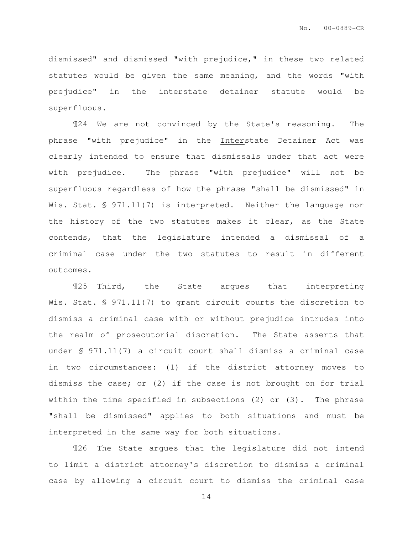dismissed" and dismissed "with prejudice," in these two related statutes would be given the same meaning, and the words "with prejudice" in the interstate detainer statute would be superfluous.

¶24 We are not convinced by the State's reasoning. The phrase "with prejudice" in the Interstate Detainer Act was clearly intended to ensure that dismissals under that act were with prejudice. The phrase "with prejudice" will not be superfluous regardless of how the phrase "shall be dismissed" in Wis. Stat. § 971.11(7) is interpreted. Neither the language nor the history of the two statutes makes it clear, as the State contends, that the legislature intended a dismissal of a criminal case under the two statutes to result in different outcomes.

¶25 Third, the State argues that interpreting Wis. Stat. § 971.11(7) to grant circuit courts the discretion to dismiss a criminal case with or without prejudice intrudes into the realm of prosecutorial discretion. The State asserts that under § 971.11(7) a circuit court shall dismiss a criminal case in two circumstances: (1) if the district attorney moves to dismiss the case; or (2) if the case is not brought on for trial within the time specified in subsections (2) or (3). The phrase "shall be dismissed" applies to both situations and must be interpreted in the same way for both situations.

¶26 The State argues that the legislature did not intend to limit a district attorney's discretion to dismiss a criminal case by allowing a circuit court to dismiss the criminal case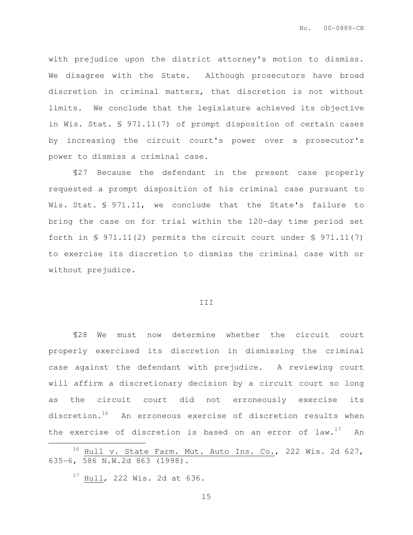with prejudice upon the district attorney's motion to dismiss. We disagree with the State. Although prosecutors have broad discretion in criminal matters, that discretion is not without limits. We conclude that the legislature achieved its objective in Wis. Stat. § 971.11(7) of prompt disposition of certain cases by increasing the circuit court's power over a prosecutor's power to dismiss a criminal case.

¶27 Because the defendant in the present case properly requested a prompt disposition of his criminal case pursuant to Wis. Stat. § 971.11, we conclude that the State's failure to bring the case on for trial within the 120-day time period set forth in § 971.11(2) permits the circuit court under § 971.11(7) to exercise its discretion to dismiss the criminal case with or without prejudice.

## III

¶28 We must now determine whether the circuit court properly exercised its discretion in dismissing the criminal case against the defendant with prejudice. A reviewing court will affirm a discretionary decision by a circuit court so long as the circuit court did not erroneously exercise its discretion.<sup>16</sup> An erroneous exercise of discretion results when the exercise of discretion is based on an error of  $law.^{17}$  An

 $17$  Hull, 222 Wis. 2d at 636.

 $\overline{a}$ 

<sup>&</sup>lt;sup>16</sup> Hull v. State Farm. Mut. Auto Ins. Co., 222 Wis. 2d 627, 635-6, 586 N.W.2d 863 (1998).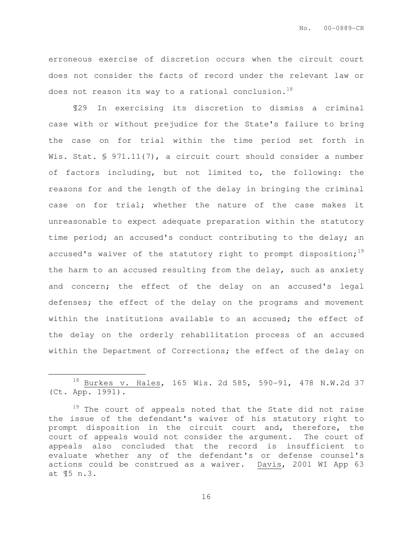erroneous exercise of discretion occurs when the circuit court does not consider the facts of record under the relevant law or does not reason its way to a rational conclusion.<sup>18</sup>

¶29 In exercising its discretion to dismiss a criminal case with or without prejudice for the State's failure to bring the case on for trial within the time period set forth in Wis. Stat. § 971.11(7), a circuit court should consider a number of factors including, but not limited to, the following: the reasons for and the length of the delay in bringing the criminal case on for trial; whether the nature of the case makes it unreasonable to expect adequate preparation within the statutory time period; an accused's conduct contributing to the delay; an accused's waiver of the statutory right to prompt disposition;<sup>19</sup> the harm to an accused resulting from the delay, such as anxiety and concern; the effect of the delay on an accused's legal defenses; the effect of the delay on the programs and movement within the institutions available to an accused; the effect of the delay on the orderly rehabilitation process of an accused within the Department of Corrections; the effect of the delay on

 $\overline{a}$ 

<sup>18</sup> Burkes v. Hales, 165 Wis. 2d 585, 590-91, 478 N.W.2d 37 (Ct. App. 1991).

<sup>&</sup>lt;sup>19</sup> The court of appeals noted that the State did not raise the issue of the defendant's waiver of his statutory right to prompt disposition in the circuit court and, therefore, the court of appeals would not consider the argument. The court of appeals also concluded that the record is insufficient to evaluate whether any of the defendant's or defense counsel's actions could be construed as a waiver. Davis, 2001 WI App 63 at ¶5 n.3.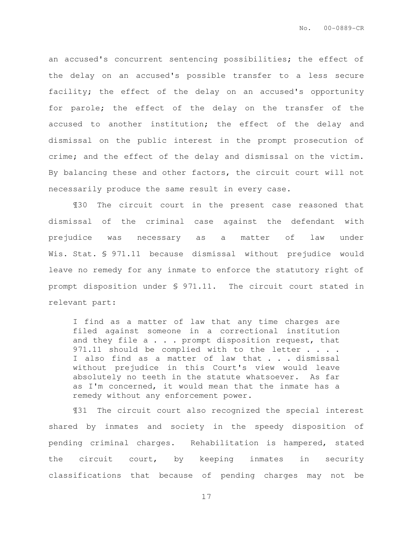an accused's concurrent sentencing possibilities; the effect of the delay on an accused's possible transfer to a less secure facility; the effect of the delay on an accused's opportunity for parole; the effect of the delay on the transfer of the accused to another institution; the effect of the delay and dismissal on the public interest in the prompt prosecution of crime; and the effect of the delay and dismissal on the victim. By balancing these and other factors, the circuit court will not necessarily produce the same result in every case.

¶30 The circuit court in the present case reasoned that dismissal of the criminal case against the defendant with prejudice was necessary as a matter of law under Wis. Stat. § 971.11 because dismissal without prejudice would leave no remedy for any inmate to enforce the statutory right of prompt disposition under § 971.11. The circuit court stated in relevant part:

I find as a matter of law that any time charges are filed against someone in a correctional institution and they file  $a \cdot \cdot \cdot$  prompt disposition request, that 971.11 should be complied with to the letter . . . . I also find as a matter of law that . . . dismissal without prejudice in this Court's view would leave absolutely no teeth in the statute whatsoever. As far as I'm concerned, it would mean that the inmate has a remedy without any enforcement power.

¶31 The circuit court also recognized the special interest shared by inmates and society in the speedy disposition of pending criminal charges. Rehabilitation is hampered, stated the circuit court, by keeping inmates in security classifications that because of pending charges may not be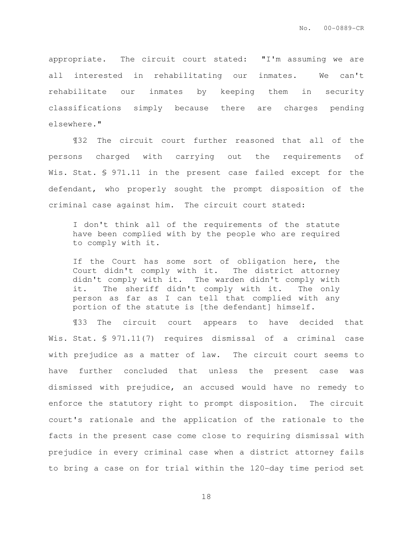appropriate. The circuit court stated: "I'm assuming we are all interested in rehabilitating our inmates. We can't rehabilitate our inmates by keeping them in security classifications simply because there are charges pending elsewhere."

¶32 The circuit court further reasoned that all of the persons charged with carrying out the requirements of Wis. Stat. § 971.11 in the present case failed except for the defendant, who properly sought the prompt disposition of the criminal case against him. The circuit court stated:

I don't think all of the requirements of the statute have been complied with by the people who are required to comply with it.

If the Court has some sort of obligation here, the Court didn't comply with it. The district attorney didn't comply with it. The warden didn't comply with it. The sheriff didn't comply with it. The only person as far as I can tell that complied with any portion of the statute is [the defendant] himself.

¶33 The circuit court appears to have decided that Wis. Stat. § 971.11(7) requires dismissal of a criminal case with prejudice as a matter of law. The circuit court seems to have further concluded that unless the present case was dismissed with prejudice, an accused would have no remedy to enforce the statutory right to prompt disposition. The circuit court's rationale and the application of the rationale to the facts in the present case come close to requiring dismissal with prejudice in every criminal case when a district attorney fails to bring a case on for trial within the 120-day time period set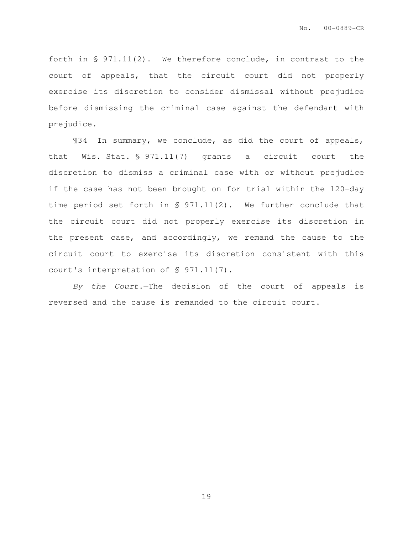forth in § 971.11(2). We therefore conclude, in contrast to the court of appeals, that the circuit court did not properly exercise its discretion to consider dismissal without prejudice before dismissing the criminal case against the defendant with prejudice.

¶34 In summary, we conclude, as did the court of appeals, that Wis. Stat. § 971.11(7) grants a circuit court the discretion to dismiss a criminal case with or without prejudice if the case has not been brought on for trial within the 120-day time period set forth in § 971.11(2). We further conclude that the circuit court did not properly exercise its discretion in the present case, and accordingly, we remand the cause to the circuit court to exercise its discretion consistent with this court's interpretation of § 971.11(7).

By the Court.—The decision of the court of appeals is reversed and the cause is remanded to the circuit court.